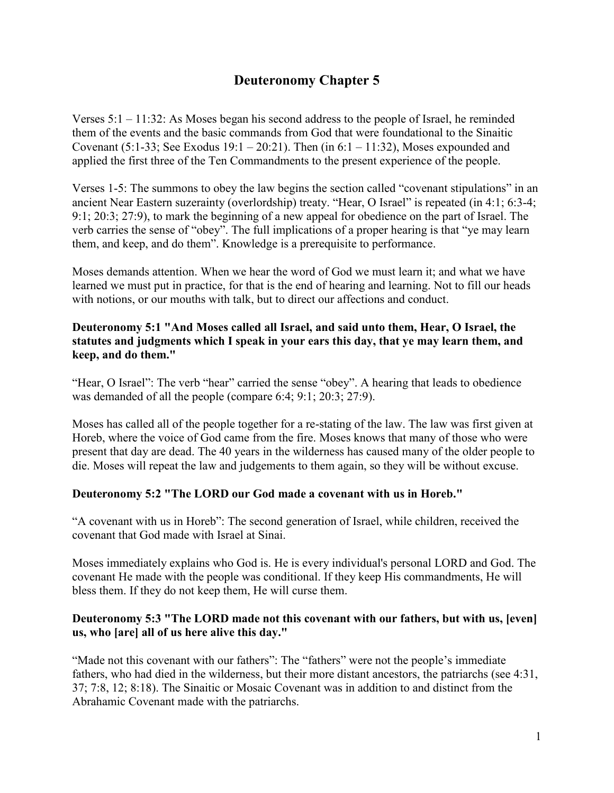# **Deuteronomy Chapter 5**

Verses  $5:1 - 11:32$ : As Moses began his second address to the people of Israel, he reminded them of the events and the basic commands from God that were foundational to the Sinaitic Covenant (5:1-33; See Exodus 19:1 – 20:21). Then (in  $6:1 - 11:32$ ), Moses expounded and applied the first three of the Ten Commandments to the present experience of the people.

Verses 1-5: The summons to obey the law begins the section called "covenant stipulations" in an ancient Near Eastern suzerainty (overlordship) treaty. "Hear, O Israel" is repeated (in 4:1; 6:3-4; 9:1; 20:3; 27:9), to mark the beginning of a new appeal for obedience on the part of Israel. The verb carries the sense of "obey". The full implications of a proper hearing is that "ye may learn them, and keep, and do them". Knowledge is a prerequisite to performance.

Moses demands attention. When we hear the word of God we must learn it; and what we have learned we must put in practice, for that is the end of hearing and learning. Not to fill our heads with notions, or our mouths with talk, but to direct our affections and conduct.

# **Deuteronomy 5:1 "And Moses called all Israel, and said unto them, Hear, O Israel, the statutes and judgments which I speak in your ears this day, that ye may learn them, and keep, and do them."**

"Hear, O Israel": The verb "hear" carried the sense "obey". A hearing that leads to obedience was demanded of all the people (compare 6:4; 9:1; 20:3; 27:9).

Moses has called all of the people together for a re-stating of the law. The law was first given at Horeb, where the voice of God came from the fire. Moses knows that many of those who were present that day are dead. The 40 years in the wilderness has caused many of the older people to die. Moses will repeat the law and judgements to them again, so they will be without excuse.

# **Deuteronomy 5:2 "The LORD our God made a covenant with us in Horeb."**

"A covenant with us in Horeb": The second generation of Israel, while children, received the covenant that God made with Israel at Sinai.

Moses immediately explains who God is. He is every individual's personal LORD and God. The covenant He made with the people was conditional. If they keep His commandments, He will bless them. If they do not keep them, He will curse them.

#### **Deuteronomy 5:3 "The LORD made not this covenant with our fathers, but with us, [even] us, who [are] all of us here alive this day."**

"Made not this covenant with our fathers": The "fathers" were not the people's immediate fathers, who had died in the wilderness, but their more distant ancestors, the patriarchs (see 4:31, 37; 7:8, 12; 8:18). The Sinaitic or Mosaic Covenant was in addition to and distinct from the Abrahamic Covenant made with the patriarchs.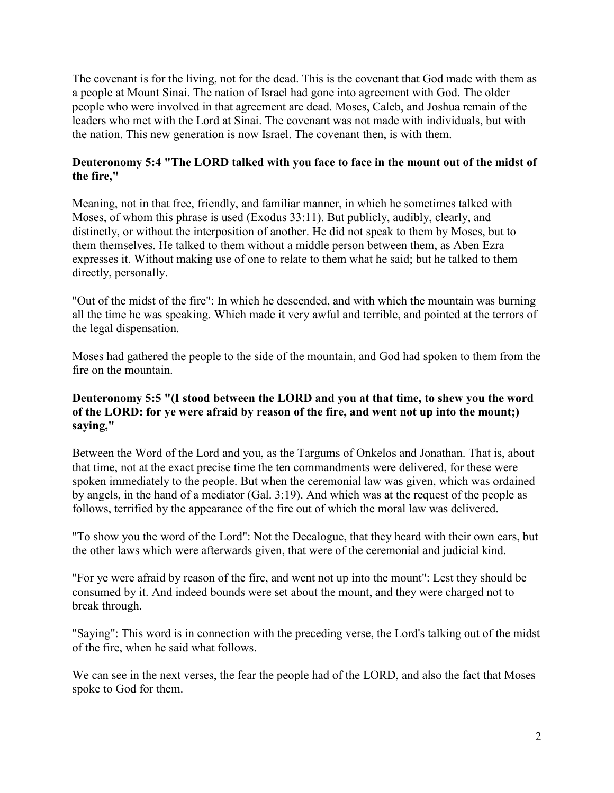The covenant is for the living, not for the dead. This is the covenant that God made with them as a people at Mount Sinai. The nation of Israel had gone into agreement with God. The older people who were involved in that agreement are dead. Moses, Caleb, and Joshua remain of the leaders who met with the Lord at Sinai. The covenant was not made with individuals, but with the nation. This new generation is now Israel. The covenant then, is with them.

# **Deuteronomy 5:4 "The LORD talked with you face to face in the mount out of the midst of the fire,"**

Meaning, not in that free, friendly, and familiar manner, in which he sometimes talked with Moses, of whom this phrase is used (Exodus 33:11). But publicly, audibly, clearly, and distinctly, or without the interposition of another. He did not speak to them by Moses, but to them themselves. He talked to them without a middle person between them, as Aben Ezra expresses it. Without making use of one to relate to them what he said; but he talked to them directly, personally.

"Out of the midst of the fire": In which he descended, and with which the mountain was burning all the time he was speaking. Which made it very awful and terrible, and pointed at the terrors of the legal dispensation.

Moses had gathered the people to the side of the mountain, and God had spoken to them from the fire on the mountain.

# **Deuteronomy 5:5 "(I stood between the LORD and you at that time, to shew you the word of the LORD: for ye were afraid by reason of the fire, and went not up into the mount;) saying,"**

Between the Word of the Lord and you, as the Targums of Onkelos and Jonathan. That is, about that time, not at the exact precise time the ten commandments were delivered, for these were spoken immediately to the people. But when the ceremonial law was given, which was ordained by angels, in the hand of a mediator (Gal. 3:19). And which was at the request of the people as follows, terrified by the appearance of the fire out of which the moral law was delivered.

"To show you the word of the Lord": Not the Decalogue, that they heard with their own ears, but the other laws which were afterwards given, that were of the ceremonial and judicial kind.

"For ye were afraid by reason of the fire, and went not up into the mount": Lest they should be consumed by it. And indeed bounds were set about the mount, and they were charged not to break through.

"Saying": This word is in connection with the preceding verse, the Lord's talking out of the midst of the fire, when he said what follows.

We can see in the next verses, the fear the people had of the LORD, and also the fact that Moses spoke to God for them.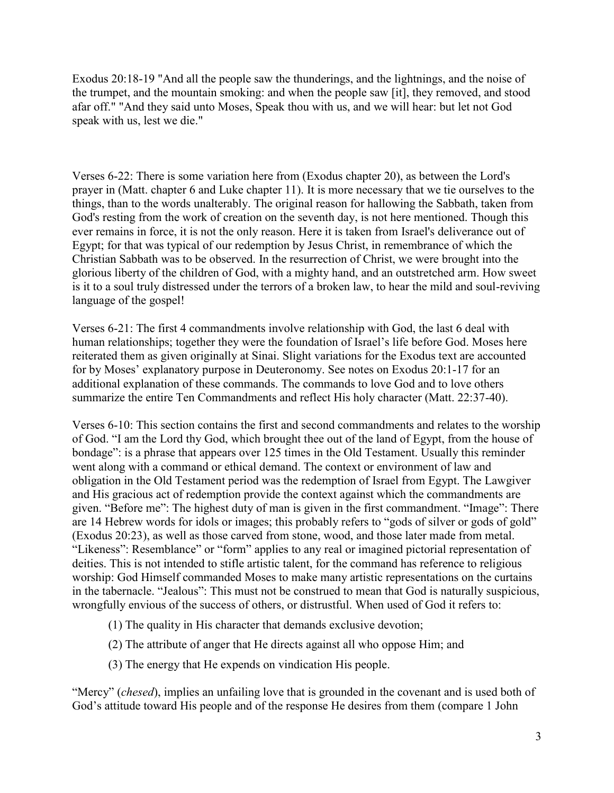Exodus 20:18-19 "And all the people saw the thunderings, and the lightnings, and the noise of the trumpet, and the mountain smoking: and when the people saw [it], they removed, and stood afar off." "And they said unto Moses, Speak thou with us, and we will hear: but let not God speak with us, lest we die."

Verses 6-22: There is some variation here from (Exodus chapter 20), as between the Lord's prayer in (Matt. chapter 6 and Luke chapter 11). It is more necessary that we tie ourselves to the things, than to the words unalterably. The original reason for hallowing the Sabbath, taken from God's resting from the work of creation on the seventh day, is not here mentioned. Though this ever remains in force, it is not the only reason. Here it is taken from Israel's deliverance out of Egypt; for that was typical of our redemption by Jesus Christ, in remembrance of which the Christian Sabbath was to be observed. In the resurrection of Christ, we were brought into the glorious liberty of the children of God, with a mighty hand, and an outstretched arm. How sweet is it to a soul truly distressed under the terrors of a broken law, to hear the mild and soul-reviving language of the gospel!

Verses 6-21: The first 4 commandments involve relationship with God, the last 6 deal with human relationships; together they were the foundation of Israel's life before God. Moses here reiterated them as given originally at Sinai. Slight variations for the Exodus text are accounted for by Moses' explanatory purpose in Deuteronomy. See notes on Exodus 20:1-17 for an additional explanation of these commands. The commands to love God and to love others summarize the entire Ten Commandments and reflect His holy character (Matt. 22:37-40).

Verses 6-10: This section contains the first and second commandments and relates to the worship of God. "I am the Lord thy God, which brought thee out of the land of Egypt, from the house of bondage": is a phrase that appears over 125 times in the Old Testament. Usually this reminder went along with a command or ethical demand. The context or environment of law and obligation in the Old Testament period was the redemption of Israel from Egypt. The Lawgiver and His gracious act of redemption provide the context against which the commandments are given. "Before me": The highest duty of man is given in the first commandment. "Image": There are 14 Hebrew words for idols or images; this probably refers to "gods of silver or gods of gold" (Exodus 20:23), as well as those carved from stone, wood, and those later made from metal. "Likeness": Resemblance" or "form" applies to any real or imagined pictorial representation of deities. This is not intended to stifle artistic talent, for the command has reference to religious worship: God Himself commanded Moses to make many artistic representations on the curtains in the tabernacle. "Jealous": This must not be construed to mean that God is naturally suspicious, wrongfully envious of the success of others, or distrustful. When used of God it refers to:

- (1) The quality in His character that demands exclusive devotion;
- (2) The attribute of anger that He directs against all who oppose Him; and
- (3) The energy that He expends on vindication His people.

"Mercy" (*chesed*), implies an unfailing love that is grounded in the covenant and is used both of God's attitude toward His people and of the response He desires from them (compare 1 John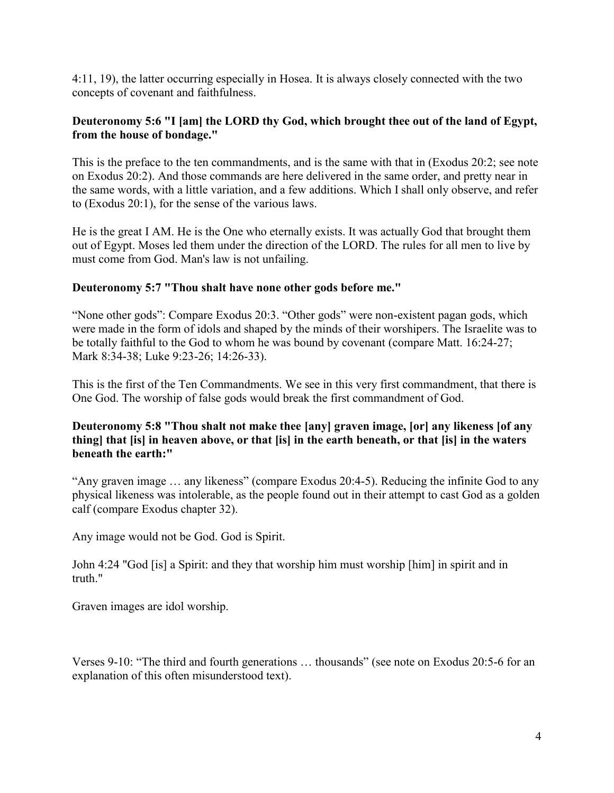4:11, 19), the latter occurring especially in Hosea. It is always closely connected with the two concepts of covenant and faithfulness.

# **Deuteronomy 5:6 "I [am] the LORD thy God, which brought thee out of the land of Egypt, from the house of bondage."**

This is the preface to the ten commandments, and is the same with that in (Exodus 20:2; see note on Exodus 20:2). And those commands are here delivered in the same order, and pretty near in the same words, with a little variation, and a few additions. Which I shall only observe, and refer to (Exodus 20:1), for the sense of the various laws.

He is the great I AM. He is the One who eternally exists. It was actually God that brought them out of Egypt. Moses led them under the direction of the LORD. The rules for all men to live by must come from God. Man's law is not unfailing.

# **Deuteronomy 5:7 "Thou shalt have none other gods before me."**

"None other gods": Compare Exodus 20:3. "Other gods" were non-existent pagan gods, which were made in the form of idols and shaped by the minds of their worshipers. The Israelite was to be totally faithful to the God to whom he was bound by covenant (compare Matt. 16:24-27; Mark 8:34-38; Luke 9:23-26; 14:26-33).

This is the first of the Ten Commandments. We see in this very first commandment, that there is One God. The worship of false gods would break the first commandment of God.

## **Deuteronomy 5:8 "Thou shalt not make thee [any] graven image, [or] any likeness [of any thing] that [is] in heaven above, or that [is] in the earth beneath, or that [is] in the waters beneath the earth:"**

"Any graven image … any likeness" (compare Exodus 20:4-5). Reducing the infinite God to any physical likeness was intolerable, as the people found out in their attempt to cast God as a golden calf (compare Exodus chapter 32).

Any image would not be God. God is Spirit.

John 4:24 "God [is] a Spirit: and they that worship him must worship [him] in spirit and in truth."

Graven images are idol worship.

Verses 9-10: "The third and fourth generations … thousands" (see note on Exodus 20:5-6 for an explanation of this often misunderstood text).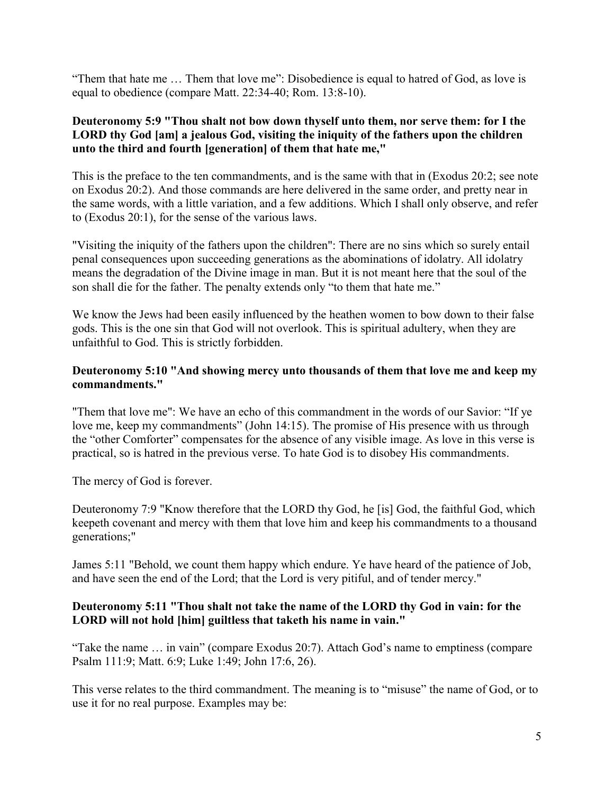"Them that hate me … Them that love me": Disobedience is equal to hatred of God, as love is equal to obedience (compare Matt. 22:34-40; Rom. 13:8-10).

# **Deuteronomy 5:9 "Thou shalt not bow down thyself unto them, nor serve them: for I the LORD thy God [am] a jealous God, visiting the iniquity of the fathers upon the children unto the third and fourth [generation] of them that hate me,"**

This is the preface to the ten commandments, and is the same with that in (Exodus 20:2; see note on Exodus 20:2). And those commands are here delivered in the same order, and pretty near in the same words, with a little variation, and a few additions. Which I shall only observe, and refer to (Exodus 20:1), for the sense of the various laws.

"Visiting the iniquity of the fathers upon the children": There are no sins which so surely entail penal consequences upon succeeding generations as the abominations of idolatry. All idolatry means the degradation of the Divine image in man. But it is not meant here that the soul of the son shall die for the father. The penalty extends only "to them that hate me."

We know the Jews had been easily influenced by the heathen women to bow down to their false gods. This is the one sin that God will not overlook. This is spiritual adultery, when they are unfaithful to God. This is strictly forbidden.

# **Deuteronomy 5:10 "And showing mercy unto thousands of them that love me and keep my commandments."**

"Them that love me": We have an echo of this commandment in the words of our Savior: "If ye love me, keep my commandments" (John 14:15). The promise of His presence with us through the "other Comforter" compensates for the absence of any visible image. As love in this verse is practical, so is hatred in the previous verse. To hate God is to disobey His commandments.

The mercy of God is forever.

Deuteronomy 7:9 "Know therefore that the LORD thy God, he [is] God, the faithful God, which keepeth covenant and mercy with them that love him and keep his commandments to a thousand generations;"

James 5:11 "Behold, we count them happy which endure. Ye have heard of the patience of Job, and have seen the end of the Lord; that the Lord is very pitiful, and of tender mercy."

# **Deuteronomy 5:11 "Thou shalt not take the name of the LORD thy God in vain: for the LORD will not hold [him] guiltless that taketh his name in vain."**

"Take the name … in vain" (compare Exodus 20:7). Attach God's name to emptiness (compare Psalm 111:9; Matt. 6:9; Luke 1:49; John 17:6, 26).

This verse relates to the third commandment. The meaning is to "misuse" the name of God, or to use it for no real purpose. Examples may be: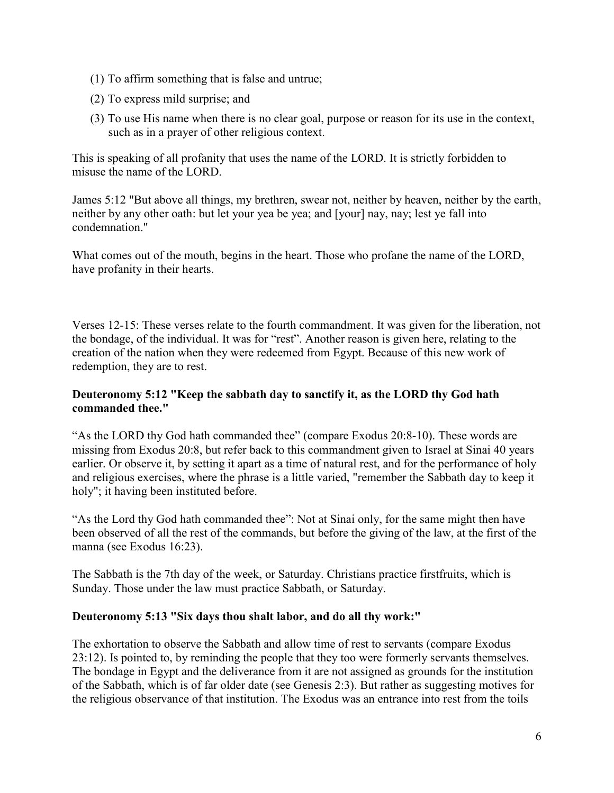- (1) To affirm something that is false and untrue;
- (2) To express mild surprise; and
- (3) To use His name when there is no clear goal, purpose or reason for its use in the context, such as in a prayer of other religious context.

This is speaking of all profanity that uses the name of the LORD. It is strictly forbidden to misuse the name of the LORD.

James 5:12 "But above all things, my brethren, swear not, neither by heaven, neither by the earth, neither by any other oath: but let your yea be yea; and [your] nay, nay; lest ye fall into condemnation."

What comes out of the mouth, begins in the heart. Those who profane the name of the LORD, have profanity in their hearts.

Verses 12-15: These verses relate to the fourth commandment. It was given for the liberation, not the bondage, of the individual. It was for "rest". Another reason is given here, relating to the creation of the nation when they were redeemed from Egypt. Because of this new work of redemption, they are to rest.

# **Deuteronomy 5:12 "Keep the sabbath day to sanctify it, as the LORD thy God hath commanded thee."**

"As the LORD thy God hath commanded thee" (compare Exodus 20:8-10). These words are missing from Exodus 20:8, but refer back to this commandment given to Israel at Sinai 40 years earlier. Or observe it, by setting it apart as a time of natural rest, and for the performance of holy and religious exercises, where the phrase is a little varied, "remember the Sabbath day to keep it holy"; it having been instituted before.

"As the Lord thy God hath commanded thee": Not at Sinai only, for the same might then have been observed of all the rest of the commands, but before the giving of the law, at the first of the manna (see Exodus 16:23).

The Sabbath is the 7th day of the week, or Saturday. Christians practice firstfruits, which is Sunday. Those under the law must practice Sabbath, or Saturday.

# **Deuteronomy 5:13 "Six days thou shalt labor, and do all thy work:"**

The exhortation to observe the Sabbath and allow time of rest to servants (compare Exodus 23:12). Is pointed to, by reminding the people that they too were formerly servants themselves. The bondage in Egypt and the deliverance from it are not assigned as grounds for the institution of the Sabbath, which is of far older date (see Genesis 2:3). But rather as suggesting motives for the religious observance of that institution. The Exodus was an entrance into rest from the toils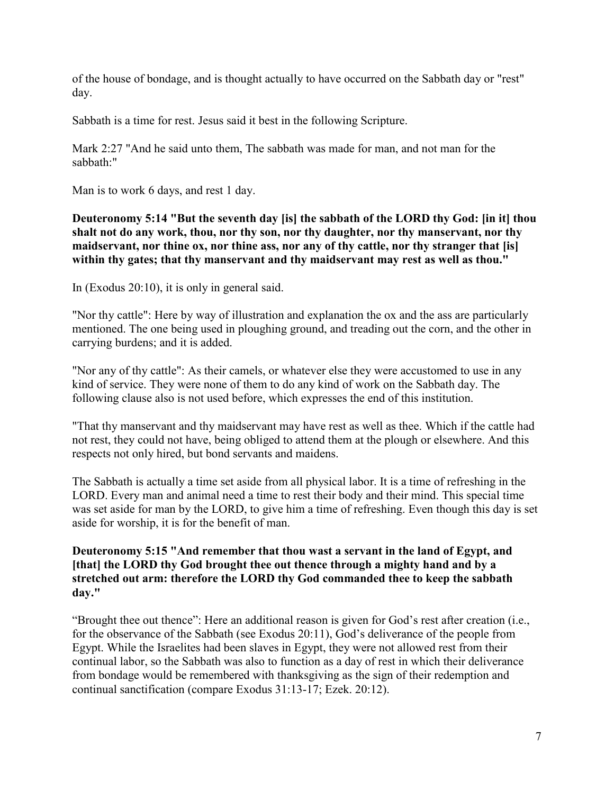of the house of bondage, and is thought actually to have occurred on the Sabbath day or "rest" day.

Sabbath is a time for rest. Jesus said it best in the following Scripture.

Mark 2:27 "And he said unto them, The sabbath was made for man, and not man for the sabbath:"

Man is to work 6 days, and rest 1 day.

**Deuteronomy 5:14 "But the seventh day [is] the sabbath of the LORD thy God: [in it] thou shalt not do any work, thou, nor thy son, nor thy daughter, nor thy manservant, nor thy maidservant, nor thine ox, nor thine ass, nor any of thy cattle, nor thy stranger that [is] within thy gates; that thy manservant and thy maidservant may rest as well as thou."**

In (Exodus 20:10), it is only in general said.

"Nor thy cattle": Here by way of illustration and explanation the ox and the ass are particularly mentioned. The one being used in ploughing ground, and treading out the corn, and the other in carrying burdens; and it is added.

"Nor any of thy cattle": As their camels, or whatever else they were accustomed to use in any kind of service. They were none of them to do any kind of work on the Sabbath day. The following clause also is not used before, which expresses the end of this institution.

"That thy manservant and thy maidservant may have rest as well as thee. Which if the cattle had not rest, they could not have, being obliged to attend them at the plough or elsewhere. And this respects not only hired, but bond servants and maidens.

The Sabbath is actually a time set aside from all physical labor. It is a time of refreshing in the LORD. Every man and animal need a time to rest their body and their mind. This special time was set aside for man by the LORD, to give him a time of refreshing. Even though this day is set aside for worship, it is for the benefit of man.

# **Deuteronomy 5:15 "And remember that thou wast a servant in the land of Egypt, and [that] the LORD thy God brought thee out thence through a mighty hand and by a stretched out arm: therefore the LORD thy God commanded thee to keep the sabbath day."**

"Brought thee out thence": Here an additional reason is given for God's rest after creation (i.e., for the observance of the Sabbath (see Exodus 20:11), God's deliverance of the people from Egypt. While the Israelites had been slaves in Egypt, they were not allowed rest from their continual labor, so the Sabbath was also to function as a day of rest in which their deliverance from bondage would be remembered with thanksgiving as the sign of their redemption and continual sanctification (compare Exodus 31:13-17; Ezek. 20:12).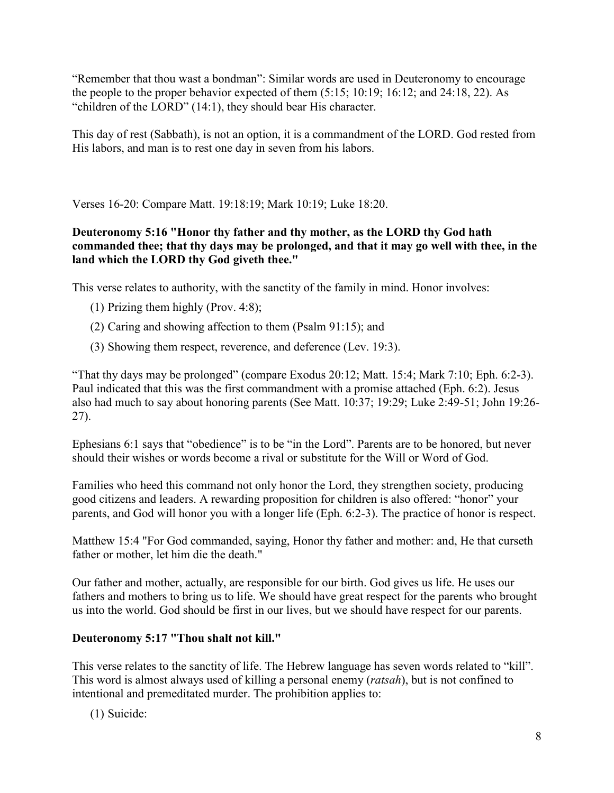"Remember that thou wast a bondman": Similar words are used in Deuteronomy to encourage the people to the proper behavior expected of them (5:15; 10:19; 16:12; and 24:18, 22). As "children of the LORD" (14:1), they should bear His character.

This day of rest (Sabbath), is not an option, it is a commandment of the LORD. God rested from His labors, and man is to rest one day in seven from his labors.

Verses 16-20: Compare Matt. 19:18:19; Mark 10:19; Luke 18:20.

# **Deuteronomy 5:16 "Honor thy father and thy mother, as the LORD thy God hath commanded thee; that thy days may be prolonged, and that it may go well with thee, in the land which the LORD thy God giveth thee."**

This verse relates to authority, with the sanctity of the family in mind. Honor involves:

- (1) Prizing them highly (Prov. 4:8);
- (2) Caring and showing affection to them (Psalm 91:15); and
- (3) Showing them respect, reverence, and deference (Lev. 19:3).

"That thy days may be prolonged" (compare Exodus 20:12; Matt. 15:4; Mark 7:10; Eph. 6:2-3). Paul indicated that this was the first commandment with a promise attached (Eph. 6:2). Jesus also had much to say about honoring parents (See Matt. 10:37; 19:29; Luke 2:49-51; John 19:26- 27).

Ephesians 6:1 says that "obedience" is to be "in the Lord". Parents are to be honored, but never should their wishes or words become a rival or substitute for the Will or Word of God.

Families who heed this command not only honor the Lord, they strengthen society, producing good citizens and leaders. A rewarding proposition for children is also offered: "honor" your parents, and God will honor you with a longer life (Eph. 6:2-3). The practice of honor is respect.

Matthew 15:4 "For God commanded, saying, Honor thy father and mother: and, He that curseth father or mother, let him die the death."

Our father and mother, actually, are responsible for our birth. God gives us life. He uses our fathers and mothers to bring us to life. We should have great respect for the parents who brought us into the world. God should be first in our lives, but we should have respect for our parents.

# **Deuteronomy 5:17 "Thou shalt not kill."**

This verse relates to the sanctity of life. The Hebrew language has seven words related to "kill". This word is almost always used of killing a personal enemy (*ratsah*), but is not confined to intentional and premeditated murder. The prohibition applies to:

(1) Suicide: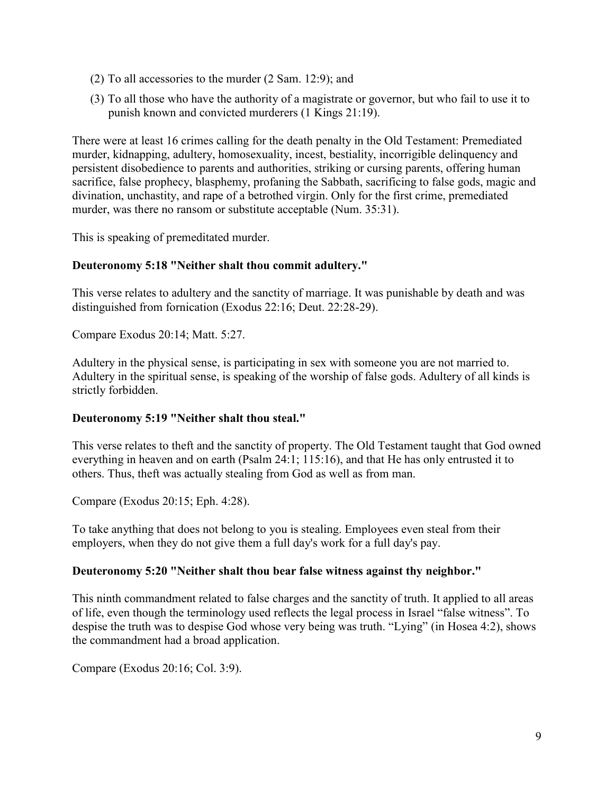- (2) To all accessories to the murder (2 Sam. 12:9); and
- (3) To all those who have the authority of a magistrate or governor, but who fail to use it to punish known and convicted murderers (1 Kings 21:19).

There were at least 16 crimes calling for the death penalty in the Old Testament: Premediated murder, kidnapping, adultery, homosexuality, incest, bestiality, incorrigible delinquency and persistent disobedience to parents and authorities, striking or cursing parents, offering human sacrifice, false prophecy, blasphemy, profaning the Sabbath, sacrificing to false gods, magic and divination, unchastity, and rape of a betrothed virgin. Only for the first crime, premediated murder, was there no ransom or substitute acceptable (Num. 35:31).

This is speaking of premeditated murder.

#### **Deuteronomy 5:18 "Neither shalt thou commit adultery."**

This verse relates to adultery and the sanctity of marriage. It was punishable by death and was distinguished from fornication (Exodus 22:16; Deut. 22:28-29).

Compare Exodus 20:14; Matt. 5:27.

Adultery in the physical sense, is participating in sex with someone you are not married to. Adultery in the spiritual sense, is speaking of the worship of false gods. Adultery of all kinds is strictly forbidden.

# **Deuteronomy 5:19 "Neither shalt thou steal."**

This verse relates to theft and the sanctity of property. The Old Testament taught that God owned everything in heaven and on earth (Psalm 24:1; 115:16), and that He has only entrusted it to others. Thus, theft was actually stealing from God as well as from man.

Compare (Exodus 20:15; Eph. 4:28).

To take anything that does not belong to you is stealing. Employees even steal from their employers, when they do not give them a full day's work for a full day's pay.

#### **Deuteronomy 5:20 "Neither shalt thou bear false witness against thy neighbor."**

This ninth commandment related to false charges and the sanctity of truth. It applied to all areas of life, even though the terminology used reflects the legal process in Israel "false witness". To despise the truth was to despise God whose very being was truth. "Lying" (in Hosea 4:2), shows the commandment had a broad application.

Compare (Exodus 20:16; Col. 3:9).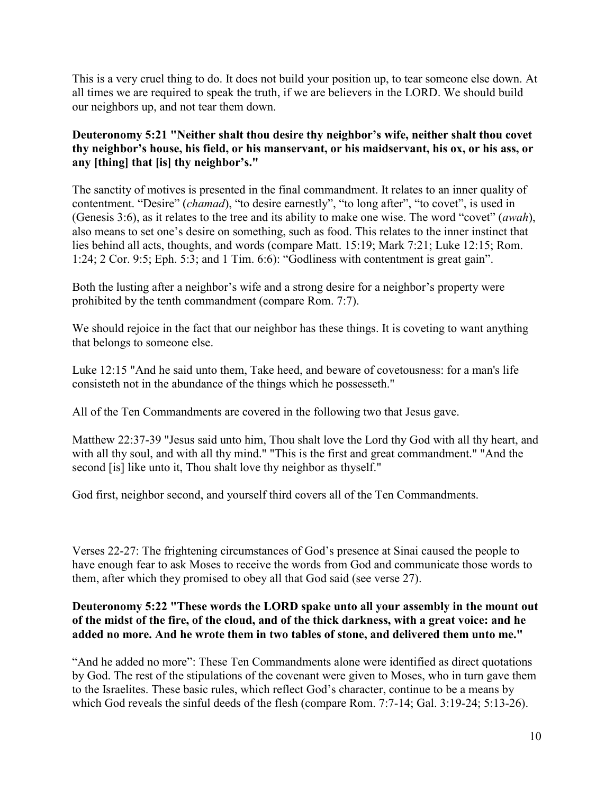This is a very cruel thing to do. It does not build your position up, to tear someone else down. At all times we are required to speak the truth, if we are believers in the LORD. We should build our neighbors up, and not tear them down.

**Deuteronomy 5:21 "Neither shalt thou desire thy neighbor's wife, neither shalt thou covet thy neighbor's house, his field, or his manservant, or his maidservant, his ox, or his ass, or any [thing] that [is] thy neighbor's."**

The sanctity of motives is presented in the final commandment. It relates to an inner quality of contentment. "Desire" (*chamad*), "to desire earnestly", "to long after", "to covet", is used in (Genesis 3:6), as it relates to the tree and its ability to make one wise. The word "covet" (*awah*), also means to set one's desire on something, such as food. This relates to the inner instinct that lies behind all acts, thoughts, and words (compare Matt. 15:19; Mark 7:21; Luke 12:15; Rom. 1:24; 2 Cor. 9:5; Eph. 5:3; and 1 Tim. 6:6): "Godliness with contentment is great gain".

Both the lusting after a neighbor's wife and a strong desire for a neighbor's property were prohibited by the tenth commandment (compare Rom. 7:7).

We should rejoice in the fact that our neighbor has these things. It is coveting to want anything that belongs to someone else.

Luke 12:15 "And he said unto them, Take heed, and beware of covetousness: for a man's life consisteth not in the abundance of the things which he possesseth."

All of the Ten Commandments are covered in the following two that Jesus gave.

Matthew 22:37-39 "Jesus said unto him, Thou shalt love the Lord thy God with all thy heart, and with all thy soul, and with all thy mind." "This is the first and great commandment." "And the second [is] like unto it, Thou shalt love thy neighbor as thyself."

God first, neighbor second, and yourself third covers all of the Ten Commandments.

Verses 22-27: The frightening circumstances of God's presence at Sinai caused the people to have enough fear to ask Moses to receive the words from God and communicate those words to them, after which they promised to obey all that God said (see verse 27).

# **Deuteronomy 5:22 "These words the LORD spake unto all your assembly in the mount out of the midst of the fire, of the cloud, and of the thick darkness, with a great voice: and he added no more. And he wrote them in two tables of stone, and delivered them unto me."**

"And he added no more": These Ten Commandments alone were identified as direct quotations by God. The rest of the stipulations of the covenant were given to Moses, who in turn gave them to the Israelites. These basic rules, which reflect God's character, continue to be a means by which God reveals the sinful deeds of the flesh (compare Rom. 7:7-14; Gal. 3:19-24; 5:13-26).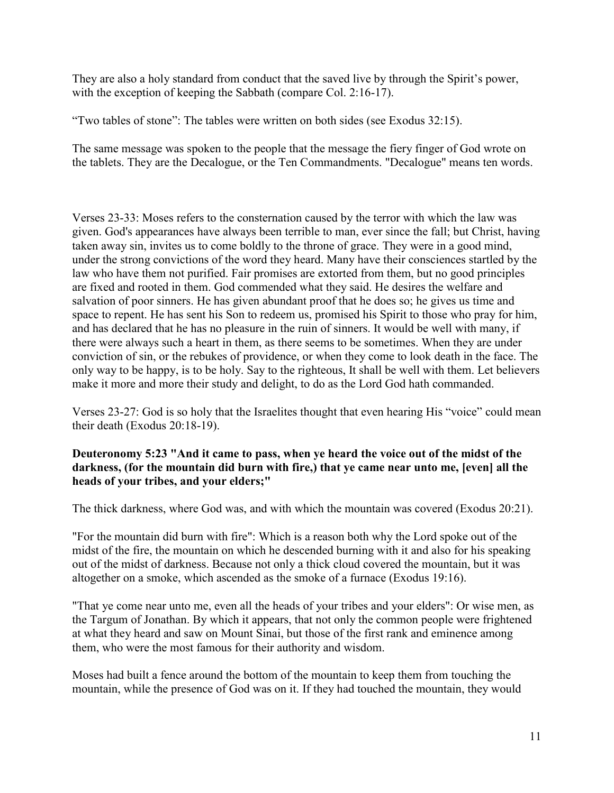They are also a holy standard from conduct that the saved live by through the Spirit's power, with the exception of keeping the Sabbath (compare Col. 2:16-17).

"Two tables of stone": The tables were written on both sides (see Exodus 32:15).

The same message was spoken to the people that the message the fiery finger of God wrote on the tablets. They are the Decalogue, or the Ten Commandments. "Decalogue" means ten words.

Verses 23-33: Moses refers to the consternation caused by the terror with which the law was given. God's appearances have always been terrible to man, ever since the fall; but Christ, having taken away sin, invites us to come boldly to the throne of grace. They were in a good mind, under the strong convictions of the word they heard. Many have their consciences startled by the law who have them not purified. Fair promises are extorted from them, but no good principles are fixed and rooted in them. God commended what they said. He desires the welfare and salvation of poor sinners. He has given abundant proof that he does so; he gives us time and space to repent. He has sent his Son to redeem us, promised his Spirit to those who pray for him, and has declared that he has no pleasure in the ruin of sinners. It would be well with many, if there were always such a heart in them, as there seems to be sometimes. When they are under conviction of sin, or the rebukes of providence, or when they come to look death in the face. The only way to be happy, is to be holy. Say to the righteous, It shall be well with them. Let believers make it more and more their study and delight, to do as the Lord God hath commanded.

Verses 23-27: God is so holy that the Israelites thought that even hearing His "voice" could mean their death (Exodus 20:18-19).

# **Deuteronomy 5:23 "And it came to pass, when ye heard the voice out of the midst of the darkness, (for the mountain did burn with fire,) that ye came near unto me, [even] all the heads of your tribes, and your elders;"**

The thick darkness, where God was, and with which the mountain was covered (Exodus 20:21).

"For the mountain did burn with fire": Which is a reason both why the Lord spoke out of the midst of the fire, the mountain on which he descended burning with it and also for his speaking out of the midst of darkness. Because not only a thick cloud covered the mountain, but it was altogether on a smoke, which ascended as the smoke of a furnace (Exodus 19:16).

"That ye come near unto me, even all the heads of your tribes and your elders": Or wise men, as the Targum of Jonathan. By which it appears, that not only the common people were frightened at what they heard and saw on Mount Sinai, but those of the first rank and eminence among them, who were the most famous for their authority and wisdom.

Moses had built a fence around the bottom of the mountain to keep them from touching the mountain, while the presence of God was on it. If they had touched the mountain, they would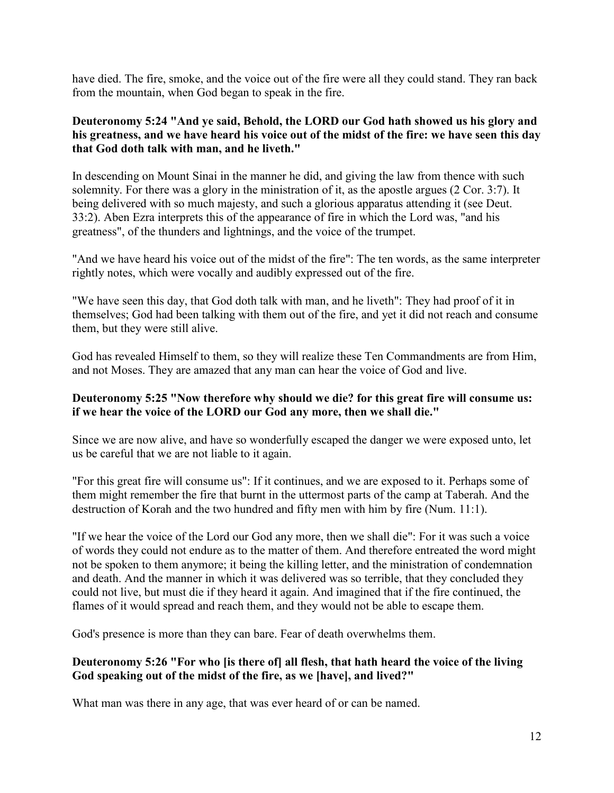have died. The fire, smoke, and the voice out of the fire were all they could stand. They ran back from the mountain, when God began to speak in the fire.

# **Deuteronomy 5:24 "And ye said, Behold, the LORD our God hath showed us his glory and his greatness, and we have heard his voice out of the midst of the fire: we have seen this day that God doth talk with man, and he liveth."**

In descending on Mount Sinai in the manner he did, and giving the law from thence with such solemnity. For there was a glory in the ministration of it, as the apostle argues (2 Cor. 3:7). It being delivered with so much majesty, and such a glorious apparatus attending it (see Deut. 33:2). Aben Ezra interprets this of the appearance of fire in which the Lord was, "and his greatness", of the thunders and lightnings, and the voice of the trumpet.

"And we have heard his voice out of the midst of the fire": The ten words, as the same interpreter rightly notes, which were vocally and audibly expressed out of the fire.

"We have seen this day, that God doth talk with man, and he liveth": They had proof of it in themselves; God had been talking with them out of the fire, and yet it did not reach and consume them, but they were still alive.

God has revealed Himself to them, so they will realize these Ten Commandments are from Him, and not Moses. They are amazed that any man can hear the voice of God and live.

# **Deuteronomy 5:25 "Now therefore why should we die? for this great fire will consume us: if we hear the voice of the LORD our God any more, then we shall die."**

Since we are now alive, and have so wonderfully escaped the danger we were exposed unto, let us be careful that we are not liable to it again.

"For this great fire will consume us": If it continues, and we are exposed to it. Perhaps some of them might remember the fire that burnt in the uttermost parts of the camp at Taberah. And the destruction of Korah and the two hundred and fifty men with him by fire (Num. 11:1).

"If we hear the voice of the Lord our God any more, then we shall die": For it was such a voice of words they could not endure as to the matter of them. And therefore entreated the word might not be spoken to them anymore; it being the killing letter, and the ministration of condemnation and death. And the manner in which it was delivered was so terrible, that they concluded they could not live, but must die if they heard it again. And imagined that if the fire continued, the flames of it would spread and reach them, and they would not be able to escape them.

God's presence is more than they can bare. Fear of death overwhelms them.

#### **Deuteronomy 5:26 "For who [is there of] all flesh, that hath heard the voice of the living God speaking out of the midst of the fire, as we [have], and lived?"**

What man was there in any age, that was ever heard of or can be named.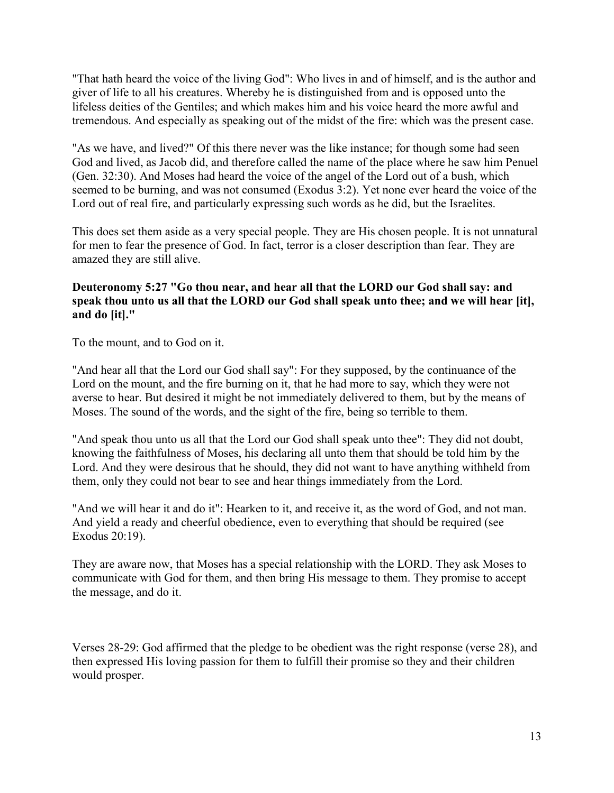"That hath heard the voice of the living God": Who lives in and of himself, and is the author and giver of life to all his creatures. Whereby he is distinguished from and is opposed unto the lifeless deities of the Gentiles; and which makes him and his voice heard the more awful and tremendous. And especially as speaking out of the midst of the fire: which was the present case.

"As we have, and lived?" Of this there never was the like instance; for though some had seen God and lived, as Jacob did, and therefore called the name of the place where he saw him Penuel (Gen. 32:30). And Moses had heard the voice of the angel of the Lord out of a bush, which seemed to be burning, and was not consumed (Exodus 3:2). Yet none ever heard the voice of the Lord out of real fire, and particularly expressing such words as he did, but the Israelites.

This does set them aside as a very special people. They are His chosen people. It is not unnatural for men to fear the presence of God. In fact, terror is a closer description than fear. They are amazed they are still alive.

## **Deuteronomy 5:27 "Go thou near, and hear all that the LORD our God shall say: and speak thou unto us all that the LORD our God shall speak unto thee; and we will hear [it], and do [it]."**

To the mount, and to God on it.

"And hear all that the Lord our God shall say": For they supposed, by the continuance of the Lord on the mount, and the fire burning on it, that he had more to say, which they were not averse to hear. But desired it might be not immediately delivered to them, but by the means of Moses. The sound of the words, and the sight of the fire, being so terrible to them.

"And speak thou unto us all that the Lord our God shall speak unto thee": They did not doubt, knowing the faithfulness of Moses, his declaring all unto them that should be told him by the Lord. And they were desirous that he should, they did not want to have anything withheld from them, only they could not bear to see and hear things immediately from the Lord.

"And we will hear it and do it": Hearken to it, and receive it, as the word of God, and not man. And yield a ready and cheerful obedience, even to everything that should be required (see Exodus 20:19).

They are aware now, that Moses has a special relationship with the LORD. They ask Moses to communicate with God for them, and then bring His message to them. They promise to accept the message, and do it.

Verses 28-29: God affirmed that the pledge to be obedient was the right response (verse 28), and then expressed His loving passion for them to fulfill their promise so they and their children would prosper.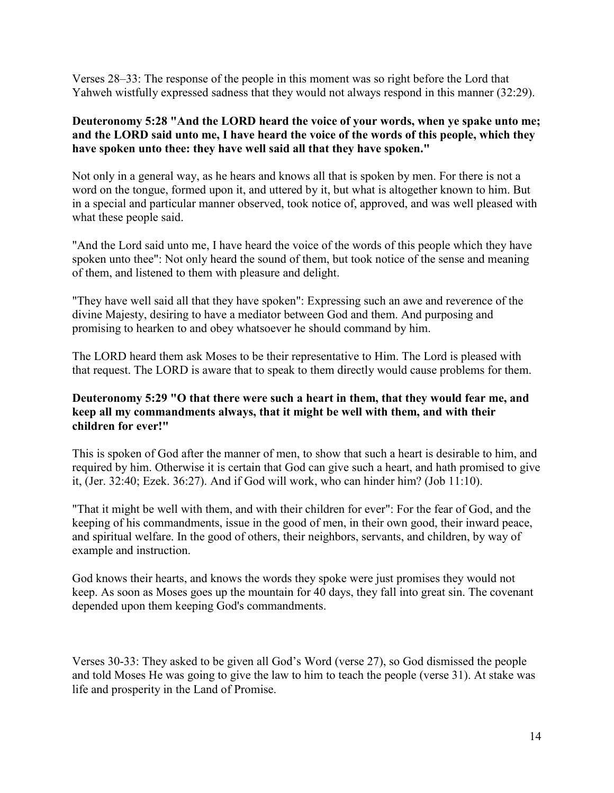Verses 28–33: The response of the people in this moment was so right before the Lord that Yahweh wistfully expressed sadness that they would not always respond in this manner (32:29).

# **Deuteronomy 5:28 "And the LORD heard the voice of your words, when ye spake unto me; and the LORD said unto me, I have heard the voice of the words of this people, which they have spoken unto thee: they have well said all that they have spoken."**

Not only in a general way, as he hears and knows all that is spoken by men. For there is not a word on the tongue, formed upon it, and uttered by it, but what is altogether known to him. But in a special and particular manner observed, took notice of, approved, and was well pleased with what these people said.

"And the Lord said unto me, I have heard the voice of the words of this people which they have spoken unto thee": Not only heard the sound of them, but took notice of the sense and meaning of them, and listened to them with pleasure and delight.

"They have well said all that they have spoken": Expressing such an awe and reverence of the divine Majesty, desiring to have a mediator between God and them. And purposing and promising to hearken to and obey whatsoever he should command by him.

The LORD heard them ask Moses to be their representative to Him. The Lord is pleased with that request. The LORD is aware that to speak to them directly would cause problems for them.

#### **Deuteronomy 5:29 "O that there were such a heart in them, that they would fear me, and keep all my commandments always, that it might be well with them, and with their children for ever!"**

This is spoken of God after the manner of men, to show that such a heart is desirable to him, and required by him. Otherwise it is certain that God can give such a heart, and hath promised to give it, (Jer. 32:40; Ezek. 36:27). And if God will work, who can hinder him? (Job 11:10).

"That it might be well with them, and with their children for ever": For the fear of God, and the keeping of his commandments, issue in the good of men, in their own good, their inward peace, and spiritual welfare. In the good of others, their neighbors, servants, and children, by way of example and instruction.

God knows their hearts, and knows the words they spoke were just promises they would not keep. As soon as Moses goes up the mountain for 40 days, they fall into great sin. The covenant depended upon them keeping God's commandments.

Verses 30-33: They asked to be given all God's Word (verse 27), so God dismissed the people and told Moses He was going to give the law to him to teach the people (verse 31). At stake was life and prosperity in the Land of Promise.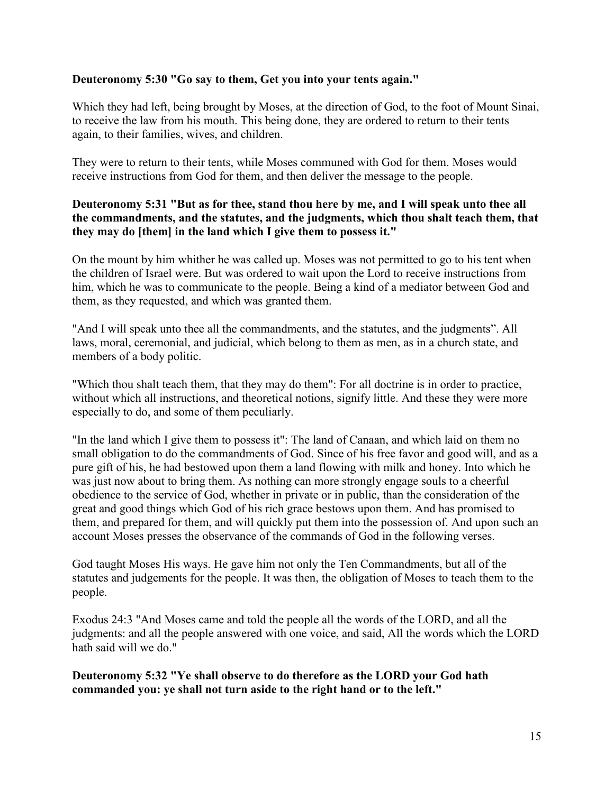# **Deuteronomy 5:30 "Go say to them, Get you into your tents again."**

Which they had left, being brought by Moses, at the direction of God, to the foot of Mount Sinai, to receive the law from his mouth. This being done, they are ordered to return to their tents again, to their families, wives, and children.

They were to return to their tents, while Moses communed with God for them. Moses would receive instructions from God for them, and then deliver the message to the people.

# **Deuteronomy 5:31 "But as for thee, stand thou here by me, and I will speak unto thee all the commandments, and the statutes, and the judgments, which thou shalt teach them, that they may do [them] in the land which I give them to possess it."**

On the mount by him whither he was called up. Moses was not permitted to go to his tent when the children of Israel were. But was ordered to wait upon the Lord to receive instructions from him, which he was to communicate to the people. Being a kind of a mediator between God and them, as they requested, and which was granted them.

"And I will speak unto thee all the commandments, and the statutes, and the judgments". All laws, moral, ceremonial, and judicial, which belong to them as men, as in a church state, and members of a body politic.

"Which thou shalt teach them, that they may do them": For all doctrine is in order to practice, without which all instructions, and theoretical notions, signify little. And these they were more especially to do, and some of them peculiarly.

"In the land which I give them to possess it": The land of Canaan, and which laid on them no small obligation to do the commandments of God. Since of his free favor and good will, and as a pure gift of his, he had bestowed upon them a land flowing with milk and honey. Into which he was just now about to bring them. As nothing can more strongly engage souls to a cheerful obedience to the service of God, whether in private or in public, than the consideration of the great and good things which God of his rich grace bestows upon them. And has promised to them, and prepared for them, and will quickly put them into the possession of. And upon such an account Moses presses the observance of the commands of God in the following verses.

God taught Moses His ways. He gave him not only the Ten Commandments, but all of the statutes and judgements for the people. It was then, the obligation of Moses to teach them to the people.

Exodus 24:3 "And Moses came and told the people all the words of the LORD, and all the judgments: and all the people answered with one voice, and said, All the words which the LORD hath said will we do."

**Deuteronomy 5:32 "Ye shall observe to do therefore as the LORD your God hath commanded you: ye shall not turn aside to the right hand or to the left."**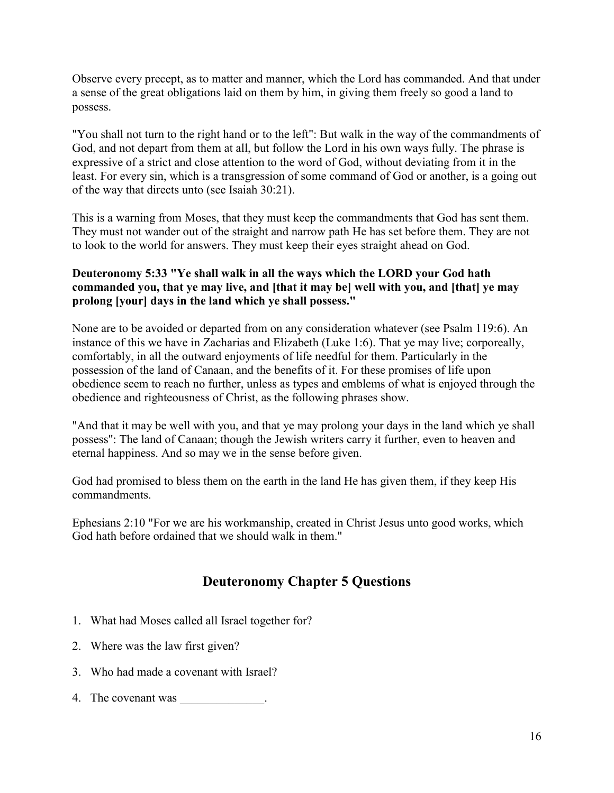Observe every precept, as to matter and manner, which the Lord has commanded. And that under a sense of the great obligations laid on them by him, in giving them freely so good a land to possess.

"You shall not turn to the right hand or to the left": But walk in the way of the commandments of God, and not depart from them at all, but follow the Lord in his own ways fully. The phrase is expressive of a strict and close attention to the word of God, without deviating from it in the least. For every sin, which is a transgression of some command of God or another, is a going out of the way that directs unto (see Isaiah 30:21).

This is a warning from Moses, that they must keep the commandments that God has sent them. They must not wander out of the straight and narrow path He has set before them. They are not to look to the world for answers. They must keep their eyes straight ahead on God.

# **Deuteronomy 5:33 "Ye shall walk in all the ways which the LORD your God hath commanded you, that ye may live, and [that it may be] well with you, and [that] ye may prolong [your] days in the land which ye shall possess."**

None are to be avoided or departed from on any consideration whatever (see Psalm 119:6). An instance of this we have in Zacharias and Elizabeth (Luke 1:6). That ye may live; corporeally, comfortably, in all the outward enjoyments of life needful for them. Particularly in the possession of the land of Canaan, and the benefits of it. For these promises of life upon obedience seem to reach no further, unless as types and emblems of what is enjoyed through the obedience and righteousness of Christ, as the following phrases show.

"And that it may be well with you, and that ye may prolong your days in the land which ye shall possess": The land of Canaan; though the Jewish writers carry it further, even to heaven and eternal happiness. And so may we in the sense before given.

God had promised to bless them on the earth in the land He has given them, if they keep His commandments.

Ephesians 2:10 "For we are his workmanship, created in Christ Jesus unto good works, which God hath before ordained that we should walk in them."

# **Deuteronomy Chapter 5 Questions**

- 1. What had Moses called all Israel together for?
- 2. Where was the law first given?
- 3. Who had made a covenant with Israel?
- 4. The covenant was \_\_\_\_\_\_\_\_\_\_\_\_\_.